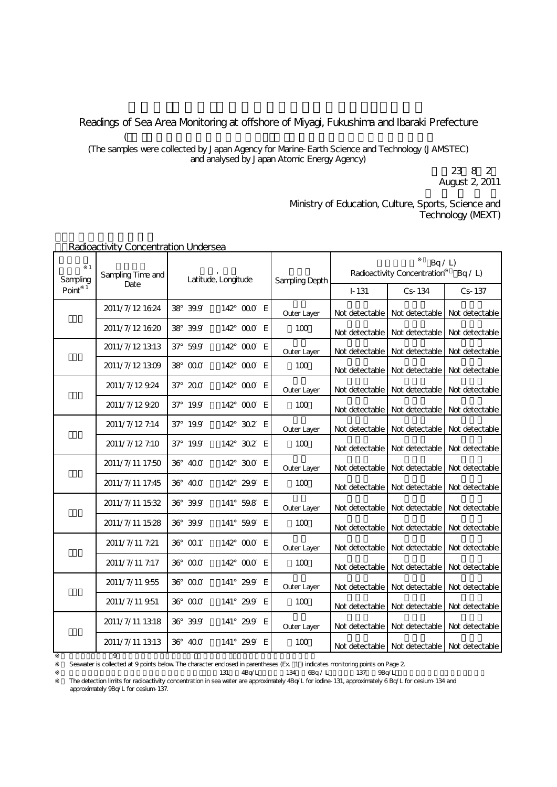## Readings of Sea Area Monitoring at offshore of Miyagi, Fukushima and Ibaraki Prefecture  $($

(The samples were collected by Japan Agency for Marine-Earth Science and Technology (JAMSTEC) and analysed by Japan Atomic Energy Agency)

August 2, 2011 平成23年8月2日 文 部 科 学 省

Ministry of Education, Culture, Sports, Science and Technology (MEXT)

| $\mathbf{1}$<br>Sampling | Sampling Time and<br>Date | Latitude, Longitude |          |  |                    |   | <b>Sampling Depth</b> | Bq / L<br>Radioactivity Concentration<br>Bq/L |                                                  |                               |
|--------------------------|---------------------------|---------------------|----------|--|--------------------|---|-----------------------|-----------------------------------------------|--------------------------------------------------|-------------------------------|
| Point                    |                           |                     |          |  |                    |   |                       | $I - 131$                                     | Cs-134                                           | Cs-137                        |
|                          | 2011/7/12 16:24           | 38                  | 39.9     |  | 142° 000 E         |   | Outer Layer           | Not detectable                                | Not detectable                                   | Not detectable                |
|                          | 2011/7/12 16:20           | 38°                 | 39.9     |  | 142° 000 E         |   | 100                   | Not detectable                                | Not detectable                                   | Not detectable                |
|                          | 2011/7/12 13:13           |                     | 37° 59.9 |  | 142° 000 E         |   | Outer Layer           | Not detectable                                |                                                  | Not detectable Not detectable |
|                          | 2011/7/12 1309            |                     | 38° 000  |  | 142° 000 E         |   | 100                   | Not detectable                                | Not detectable                                   | Not detectable                |
|                          | 2011/7/12924              | $37^\circ$          | 200      |  | 142° 000 E         |   | Outer Layer           | Not detectable                                | Not detectable                                   | Not detectable                |
|                          | 2011/7/12920              |                     | 37° 19.9 |  | 142° 000 E         |   | 100                   | Not detectable                                | Not detectable                                   | Not detectable                |
|                          | 2011/7/12 7:14            |                     | 37° 19.9 |  | 142° 302 E         |   | Outer Layer           | Not detectable                                | Not detectable                                   | Not detectable                |
|                          | 2011/7/12 7:10            |                     | 37° 19.9 |  | 142° 302           | E | 100                   | Not detectable                                | Not detectable                                   | Not detectable                |
|                          | 2011/7/11 17:50           |                     | 36° 400  |  | 142° 300 E         |   | Outer Layer           | Not detectable                                | Not detectable                                   | Not detectable                |
|                          | 2011/7/11 17:45           | 36°                 | 400      |  | 142° 29.9          | E | 100                   | Not detectable                                | Not detectable                                   | Not detectable                |
|                          | 2011/7/11 15:32           |                     | 36° 39.9 |  | 141° 59.8 E        |   | Outer Layer           | Not detectable                                | Not detectable                                   | Not detectable                |
|                          | 2011/7/11 15:28           |                     | 36° 39.9 |  | 141° 59.9 E        |   | 100                   | Not detectable                                | Not detectable                                   | Not detectable                |
|                          | 2011/7/11 7:21            |                     | 36° 001  |  | 142° 000 E         |   | Outer Layer           | Not detectable                                | Not detectable                                   | Not detectable                |
|                          | 2011/7/11 7:17            |                     | 36° 000  |  | 142 000            | E | 100                   | Not detectable                                | Not detectable                                   | Not detectable                |
|                          | 2011/7/11 9.55            |                     | 36° 000  |  | 141° 29.9          | E | Outer Layer           | Not detectable                                | Not detectable                                   | Not detectable                |
|                          | 2011/7/11 9.51            |                     | 36° 000  |  | 141° 29.9          | E | 100                   | Not detectable                                | Not detectable                                   | Not detectable                |
|                          | 2011/7/11 1318            |                     | 36° 39.9 |  | 141° 29.9 E        |   | Outer Layer           | Not detectable                                | Not detectable                                   | Not detectable                |
|                          | 2011/7/11 1313            |                     | 36° 400  |  | $141^{\circ}$ 29.9 | E | 100                   |                                               | Not detectable   Not detectable   Not detectable |                               |

## 1.Radioactivity Concentration Undersea

 $\overline{9}$ Seawater is collected at 9 points below. The character enclosed in parentheses (Ex. 1) indicates monitoring points on Page 2.

 $231$   $4Bq/L$   $134$   $6Bq/L$   $137$   $9Bq/L$ 

The detection limits for radioactivity concentration in sea water are approximately 4Bq/L for iodine-131, approximately 6 Bq/L for cesium-134 and approximately 9Bq/L for cesium-137.